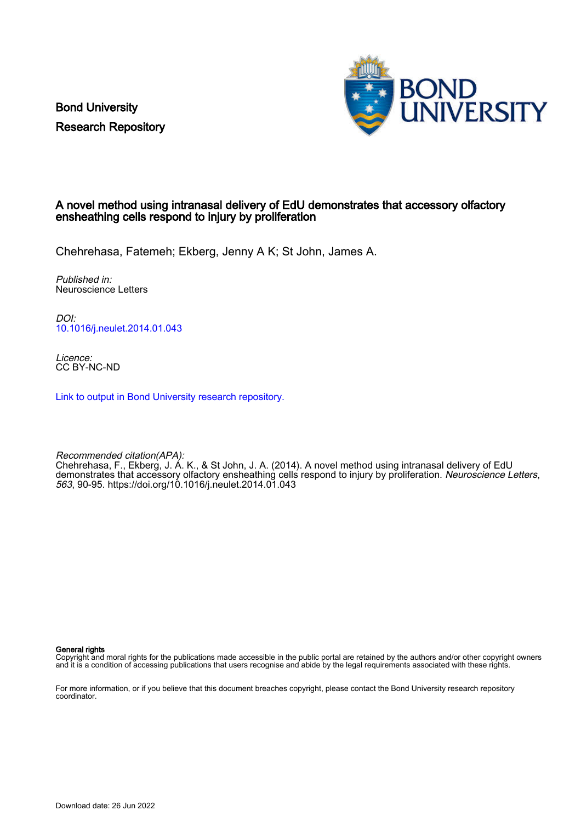Bond University Research Repository



## A novel method using intranasal delivery of EdU demonstrates that accessory olfactory ensheathing cells respond to injury by proliferation

Chehrehasa, Fatemeh; Ekberg, Jenny A K; St John, James A.

Published in: Neuroscience Letters

DOI: [10.1016/j.neulet.2014.01.043](https://doi.org/10.1016/j.neulet.2014.01.043)

Licence: CC BY-NC-ND

[Link to output in Bond University research repository.](https://research.bond.edu.au/en/publications/9c1da77d-1fa9-4d6a-b89d-cccdbc37bf13)

Recommended citation(APA): Chehrehasa, F., Ekberg, J. A. K., & St John, J. A. (2014). A novel method using intranasal delivery of EdU demonstrates that accessory olfactory ensheathing cells respond to injury by proliferation. Neuroscience Letters, 563, 90-95.<https://doi.org/10.1016/j.neulet.2014.01.043>

General rights

Copyright and moral rights for the publications made accessible in the public portal are retained by the authors and/or other copyright owners and it is a condition of accessing publications that users recognise and abide by the legal requirements associated with these rights.

For more information, or if you believe that this document breaches copyright, please contact the Bond University research repository coordinator.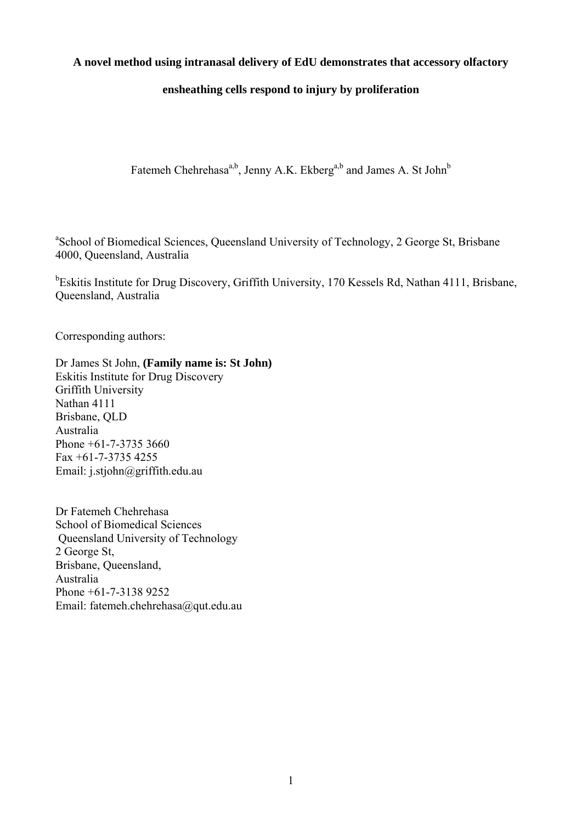## **A novel method using intranasal delivery of EdU demonstrates that accessory olfactory**

# **ensheathing cells respond to injury by proliferation**

Fatemeh Chehrehasa<sup>a,b</sup>, Jenny A.K. Ekberg<sup>a,b</sup> and James A. St John<sup>b</sup>

<sup>a</sup>School of Biomedical Sciences, Queensland University of Technology, 2 George St, Brisbane 4000, Queensland, Australia

<sup>b</sup>Eskitis Institute for Drug Discovery, Griffith University, 170 Kessels Rd, Nathan 4111, Brisbane, Queensland, Australia

Corresponding authors:

Dr James St John, **(Family name is: St John)**  Eskitis Institute for Drug Discovery Griffith University Nathan 4111 Brisbane, QLD Australia Phone +61-7-3735 3660 Fax +61-7-3735 4255 Email: j.stjohn@griffith.edu.au

Dr Fatemeh Chehrehasa School of Biomedical Sciences Queensland University of Technology 2 George St, Brisbane, Queensland, Australia Phone +61-7-3138 9252 Email: fatemeh.chehrehasa@qut.edu.au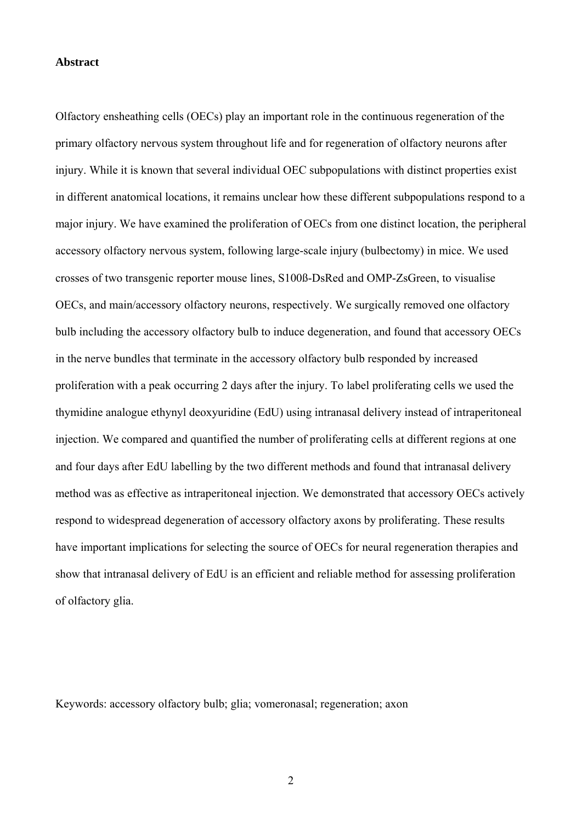#### **Abstract**

Olfactory ensheathing cells (OECs) play an important role in the continuous regeneration of the primary olfactory nervous system throughout life and for regeneration of olfactory neurons after injury. While it is known that several individual OEC subpopulations with distinct properties exist in different anatomical locations, it remains unclear how these different subpopulations respond to a major injury. We have examined the proliferation of OECs from one distinct location, the peripheral accessory olfactory nervous system, following large-scale injury (bulbectomy) in mice. We used crosses of two transgenic reporter mouse lines, S100ß-DsRed and OMP-ZsGreen, to visualise OECs, and main/accessory olfactory neurons, respectively. We surgically removed one olfactory bulb including the accessory olfactory bulb to induce degeneration, and found that accessory OECs in the nerve bundles that terminate in the accessory olfactory bulb responded by increased proliferation with a peak occurring 2 days after the injury. To label proliferating cells we used the thymidine analogue ethynyl deoxyuridine (EdU) using intranasal delivery instead of intraperitoneal injection. We compared and quantified the number of proliferating cells at different regions at one and four days after EdU labelling by the two different methods and found that intranasal delivery method was as effective as intraperitoneal injection. We demonstrated that accessory OECs actively respond to widespread degeneration of accessory olfactory axons by proliferating. These results have important implications for selecting the source of OECs for neural regeneration therapies and show that intranasal delivery of EdU is an efficient and reliable method for assessing proliferation of olfactory glia.

Keywords: accessory olfactory bulb; glia; vomeronasal; regeneration; axon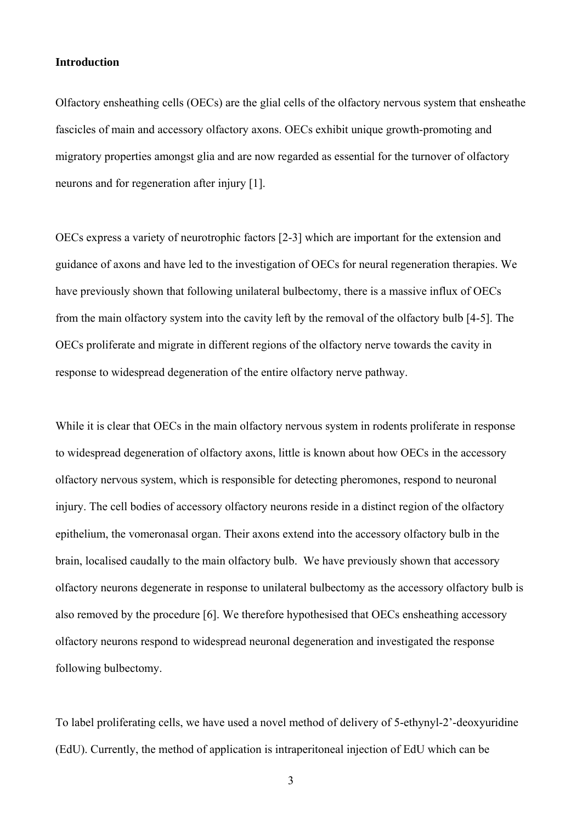#### **Introduction**

Olfactory ensheathing cells (OECs) are the glial cells of the olfactory nervous system that ensheathe fascicles of main and accessory olfactory axons. OECs exhibit unique growth-promoting and migratory properties amongst glia and are now regarded as essential for the turnover of olfactory neurons and for regeneration after injury [1].

OECs express a variety of neurotrophic factors [2-3] which are important for the extension and guidance of axons and have led to the investigation of OECs for neural regeneration therapies. We have previously shown that following unilateral bulbectomy, there is a massive influx of OECs from the main olfactory system into the cavity left by the removal of the olfactory bulb [4-5]. The OECs proliferate and migrate in different regions of the olfactory nerve towards the cavity in response to widespread degeneration of the entire olfactory nerve pathway.

While it is clear that OECs in the main olfactory nervous system in rodents proliferate in response to widespread degeneration of olfactory axons, little is known about how OECs in the accessory olfactory nervous system, which is responsible for detecting pheromones, respond to neuronal injury. The cell bodies of accessory olfactory neurons reside in a distinct region of the olfactory epithelium, the vomeronasal organ. Their axons extend into the accessory olfactory bulb in the brain, localised caudally to the main olfactory bulb. We have previously shown that accessory olfactory neurons degenerate in response to unilateral bulbectomy as the accessory olfactory bulb is also removed by the procedure [6]. We therefore hypothesised that OECs ensheathing accessory olfactory neurons respond to widespread neuronal degeneration and investigated the response following bulbectomy.

To label proliferating cells, we have used a novel method of delivery of 5-ethynyl-2'-deoxyuridine (EdU). Currently, the method of application is intraperitoneal injection of EdU which can be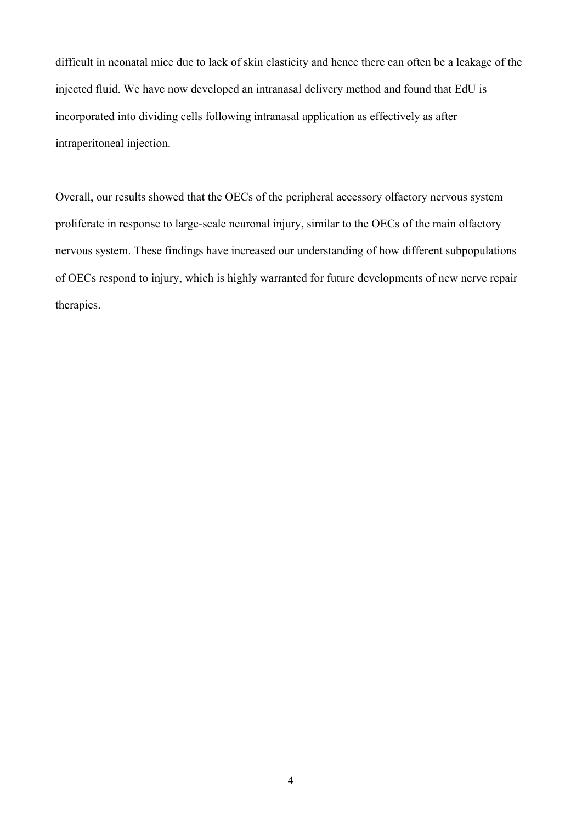difficult in neonatal mice due to lack of skin elasticity and hence there can often be a leakage of the injected fluid. We have now developed an intranasal delivery method and found that EdU is incorporated into dividing cells following intranasal application as effectively as after intraperitoneal injection.

Overall, our results showed that the OECs of the peripheral accessory olfactory nervous system proliferate in response to large-scale neuronal injury, similar to the OECs of the main olfactory nervous system. These findings have increased our understanding of how different subpopulations of OECs respond to injury, which is highly warranted for future developments of new nerve repair therapies.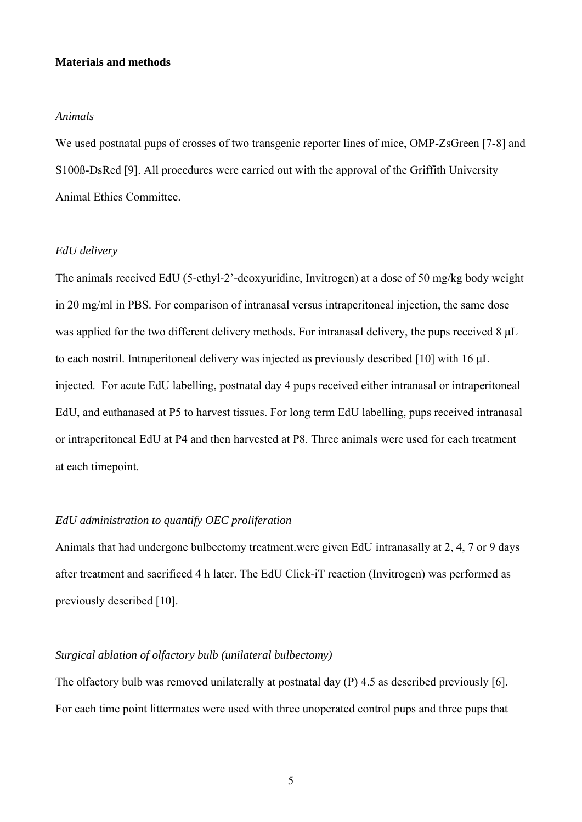## **Materials and methods**

#### *Animals*

We used postnatal pups of crosses of two transgenic reporter lines of mice, OMP-ZsGreen [7-8] and S100ß-DsRed [9]. All procedures were carried out with the approval of the Griffith University Animal Ethics Committee.

## *EdU delivery*

The animals received EdU (5-ethyl-2'-deoxyuridine, Invitrogen) at a dose of 50 mg/kg body weight in 20 mg/ml in PBS. For comparison of intranasal versus intraperitoneal injection, the same dose was applied for the two different delivery methods. For intranasal delivery, the pups received 8 μL to each nostril. Intraperitoneal delivery was injected as previously described [10] with 16 μL injected. For acute EdU labelling, postnatal day 4 pups received either intranasal or intraperitoneal EdU, and euthanased at P5 to harvest tissues. For long term EdU labelling, pups received intranasal or intraperitoneal EdU at P4 and then harvested at P8. Three animals were used for each treatment at each timepoint.

# *EdU administration to quantify OEC proliferation*

Animals that had undergone bulbectomy treatment.were given EdU intranasally at 2, 4, 7 or 9 days after treatment and sacrificed 4 h later. The EdU Click-iT reaction (Invitrogen) was performed as previously described [10].

## *Surgical ablation of olfactory bulb (unilateral bulbectomy)*

The olfactory bulb was removed unilaterally at postnatal day (P) 4.5 as described previously [6]. For each time point littermates were used with three unoperated control pups and three pups that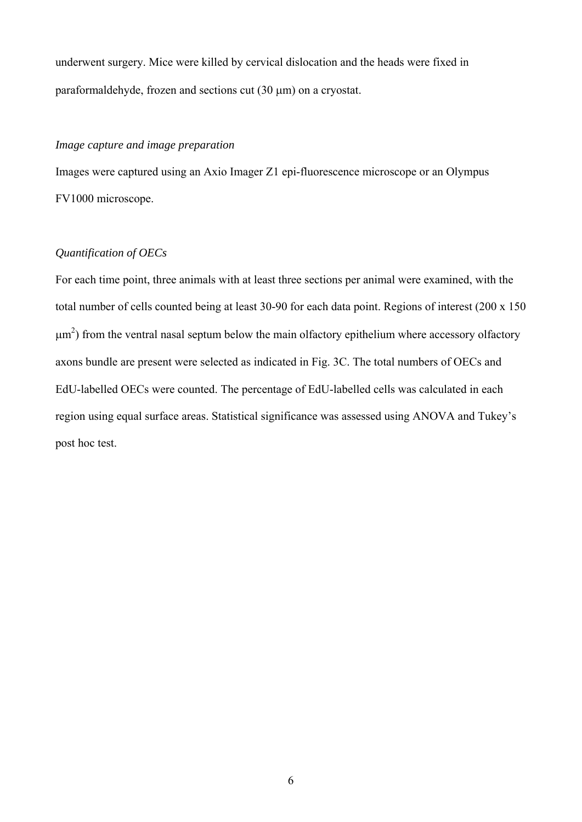underwent surgery. Mice were killed by cervical dislocation and the heads were fixed in paraformaldehyde, frozen and sections cut  $(30 \mu m)$  on a cryostat.

## *Image capture and image preparation*

Images were captured using an Axio Imager Z1 epi-fluorescence microscope or an Olympus FV1000 microscope.

# *Quantification of OECs*

For each time point, three animals with at least three sections per animal were examined, with the total number of cells counted being at least 30-90 for each data point. Regions of interest (200 x 150  $\mu$ m<sup>2</sup>) from the ventral nasal septum below the main olfactory epithelium where accessory olfactory axons bundle are present were selected as indicated in Fig. 3C. The total numbers of OECs and EdU-labelled OECs were counted. The percentage of EdU-labelled cells was calculated in each region using equal surface areas. Statistical significance was assessed using ANOVA and Tukey's post hoc test.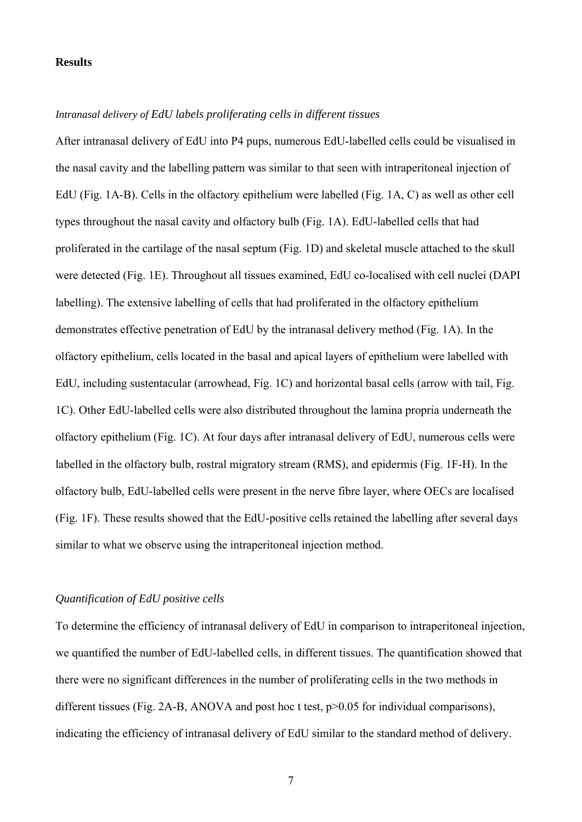#### **Results**

## *Intranasal delivery of EdU labels proliferating cells in different tissues*

After intranasal delivery of EdU into P4 pups, numerous EdU-labelled cells could be visualised in the nasal cavity and the labelling pattern was similar to that seen with intraperitoneal injection of EdU (Fig. 1A-B). Cells in the olfactory epithelium were labelled (Fig. 1A, C) as well as other cell types throughout the nasal cavity and olfactory bulb (Fig. 1A). EdU-labelled cells that had proliferated in the cartilage of the nasal septum (Fig. 1D) and skeletal muscle attached to the skull were detected (Fig. 1E). Throughout all tissues examined, EdU co-localised with cell nuclei (DAPI labelling). The extensive labelling of cells that had proliferated in the olfactory epithelium demonstrates effective penetration of EdU by the intranasal delivery method (Fig. 1A). In the olfactory epithelium, cells located in the basal and apical layers of epithelium were labelled with EdU, including sustentacular (arrowhead, Fig. 1C) and horizontal basal cells (arrow with tail, Fig. 1C). Other EdU-labelled cells were also distributed throughout the lamina propria underneath the olfactory epithelium (Fig. 1C). At four days after intranasal delivery of EdU, numerous cells were labelled in the olfactory bulb, rostral migratory stream (RMS), and epidermis (Fig. 1F-H). In the olfactory bulb, EdU-labelled cells were present in the nerve fibre layer, where OECs are localised (Fig. 1F). These results showed that the EdU-positive cells retained the labelling after several days similar to what we observe using the intraperitoneal injection method.

# *Quantification of EdU positive cells*

To determine the efficiency of intranasal delivery of EdU in comparison to intraperitoneal injection, we quantified the number of EdU-labelled cells, in different tissues. The quantification showed that there were no significant differences in the number of proliferating cells in the two methods in different tissues (Fig. 2A-B, ANOVA and post hoc t test,  $p > 0.05$  for individual comparisons), indicating the efficiency of intranasal delivery of EdU similar to the standard method of delivery.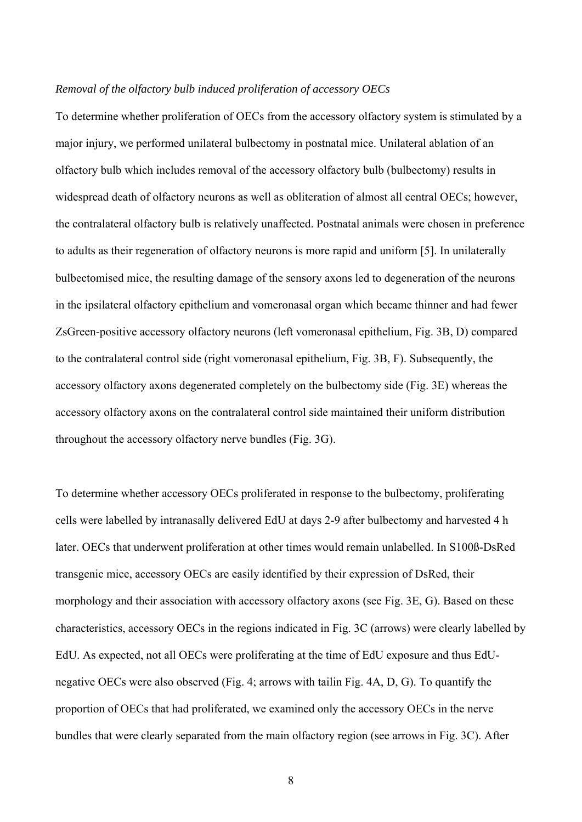#### *Removal of the olfactory bulb induced proliferation of accessory OECs*

To determine whether proliferation of OECs from the accessory olfactory system is stimulated by a major injury, we performed unilateral bulbectomy in postnatal mice. Unilateral ablation of an olfactory bulb which includes removal of the accessory olfactory bulb (bulbectomy) results in widespread death of olfactory neurons as well as obliteration of almost all central OECs; however, the contralateral olfactory bulb is relatively unaffected. Postnatal animals were chosen in preference to adults as their regeneration of olfactory neurons is more rapid and uniform [5]. In unilaterally bulbectomised mice, the resulting damage of the sensory axons led to degeneration of the neurons in the ipsilateral olfactory epithelium and vomeronasal organ which became thinner and had fewer ZsGreen-positive accessory olfactory neurons (left vomeronasal epithelium, Fig. 3B, D) compared to the contralateral control side (right vomeronasal epithelium, Fig. 3B, F). Subsequently, the accessory olfactory axons degenerated completely on the bulbectomy side (Fig. 3E) whereas the accessory olfactory axons on the contralateral control side maintained their uniform distribution throughout the accessory olfactory nerve bundles (Fig. 3G).

To determine whether accessory OECs proliferated in response to the bulbectomy, proliferating cells were labelled by intranasally delivered EdU at days 2-9 after bulbectomy and harvested 4 h later. OECs that underwent proliferation at other times would remain unlabelled. In S100ß-DsRed transgenic mice, accessory OECs are easily identified by their expression of DsRed, their morphology and their association with accessory olfactory axons (see Fig. 3E, G). Based on these characteristics, accessory OECs in the regions indicated in Fig. 3C (arrows) were clearly labelled by EdU. As expected, not all OECs were proliferating at the time of EdU exposure and thus EdUnegative OECs were also observed (Fig. 4; arrows with tailin Fig. 4A, D, G). To quantify the proportion of OECs that had proliferated, we examined only the accessory OECs in the nerve bundles that were clearly separated from the main olfactory region (see arrows in Fig. 3C). After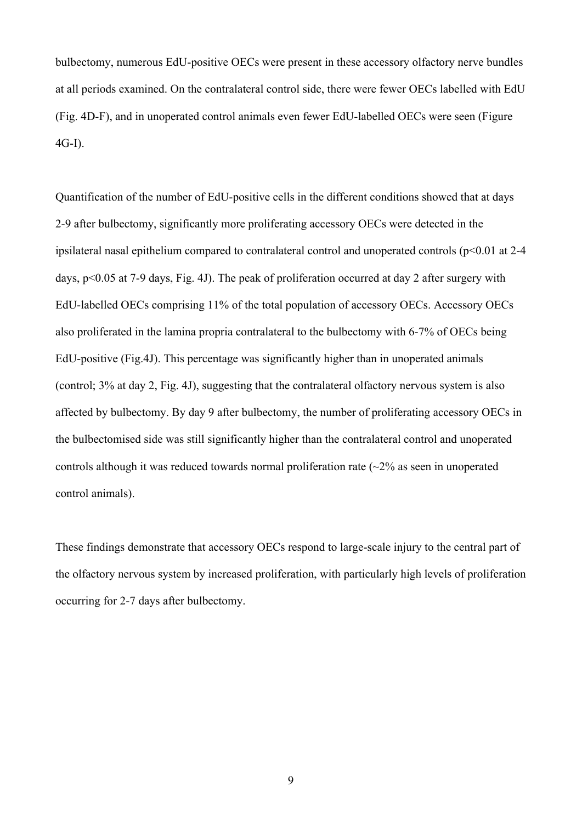bulbectomy, numerous EdU-positive OECs were present in these accessory olfactory nerve bundles at all periods examined. On the contralateral control side, there were fewer OECs labelled with EdU (Fig. 4D-F), and in unoperated control animals even fewer EdU-labelled OECs were seen (Figure 4G-I).

Quantification of the number of EdU-positive cells in the different conditions showed that at days 2-9 after bulbectomy, significantly more proliferating accessory OECs were detected in the ipsilateral nasal epithelium compared to contralateral control and unoperated controls (p<0.01 at 2-4 days, p<0.05 at 7-9 days, Fig. 4J). The peak of proliferation occurred at day 2 after surgery with EdU-labelled OECs comprising 11% of the total population of accessory OECs. Accessory OECs also proliferated in the lamina propria contralateral to the bulbectomy with 6-7% of OECs being EdU-positive (Fig.4J). This percentage was significantly higher than in unoperated animals (control; 3% at day 2, Fig. 4J), suggesting that the contralateral olfactory nervous system is also affected by bulbectomy. By day 9 after bulbectomy, the number of proliferating accessory OECs in the bulbectomised side was still significantly higher than the contralateral control and unoperated controls although it was reduced towards normal proliferation rate  $\left(\sim 2\%$  as seen in unoperated control animals).

These findings demonstrate that accessory OECs respond to large-scale injury to the central part of the olfactory nervous system by increased proliferation, with particularly high levels of proliferation occurring for 2-7 days after bulbectomy.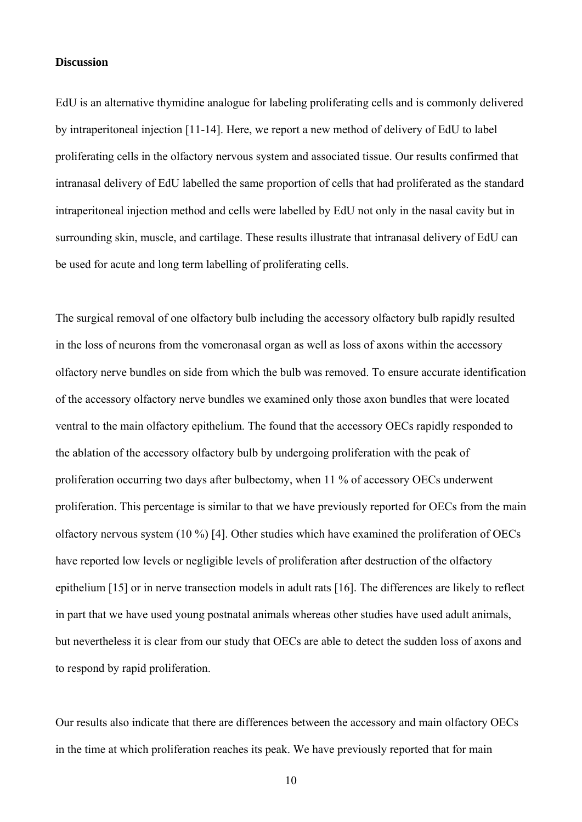#### **Discussion**

EdU is an alternative thymidine analogue for labeling proliferating cells and is commonly delivered by intraperitoneal injection [11-14]. Here, we report a new method of delivery of EdU to label proliferating cells in the olfactory nervous system and associated tissue. Our results confirmed that intranasal delivery of EdU labelled the same proportion of cells that had proliferated as the standard intraperitoneal injection method and cells were labelled by EdU not only in the nasal cavity but in surrounding skin, muscle, and cartilage. These results illustrate that intranasal delivery of EdU can be used for acute and long term labelling of proliferating cells.

The surgical removal of one olfactory bulb including the accessory olfactory bulb rapidly resulted in the loss of neurons from the vomeronasal organ as well as loss of axons within the accessory olfactory nerve bundles on side from which the bulb was removed. To ensure accurate identification of the accessory olfactory nerve bundles we examined only those axon bundles that were located ventral to the main olfactory epithelium. The found that the accessory OECs rapidly responded to the ablation of the accessory olfactory bulb by undergoing proliferation with the peak of proliferation occurring two days after bulbectomy, when 11 % of accessory OECs underwent proliferation. This percentage is similar to that we have previously reported for OECs from the main olfactory nervous system (10 %) [4]. Other studies which have examined the proliferation of OECs have reported low levels or negligible levels of proliferation after destruction of the olfactory epithelium [15] or in nerve transection models in adult rats [16]. The differences are likely to reflect in part that we have used young postnatal animals whereas other studies have used adult animals, but nevertheless it is clear from our study that OECs are able to detect the sudden loss of axons and to respond by rapid proliferation.

Our results also indicate that there are differences between the accessory and main olfactory OECs in the time at which proliferation reaches its peak. We have previously reported that for main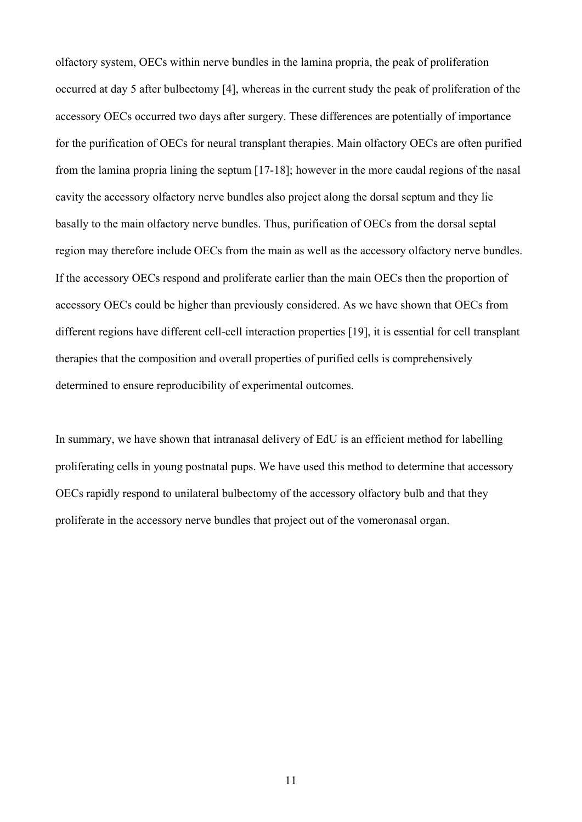olfactory system, OECs within nerve bundles in the lamina propria, the peak of proliferation occurred at day 5 after bulbectomy [4], whereas in the current study the peak of proliferation of the accessory OECs occurred two days after surgery. These differences are potentially of importance for the purification of OECs for neural transplant therapies. Main olfactory OECs are often purified from the lamina propria lining the septum [17-18]; however in the more caudal regions of the nasal cavity the accessory olfactory nerve bundles also project along the dorsal septum and they lie basally to the main olfactory nerve bundles. Thus, purification of OECs from the dorsal septal region may therefore include OECs from the main as well as the accessory olfactory nerve bundles. If the accessory OECs respond and proliferate earlier than the main OECs then the proportion of accessory OECs could be higher than previously considered. As we have shown that OECs from different regions have different cell-cell interaction properties [19], it is essential for cell transplant therapies that the composition and overall properties of purified cells is comprehensively determined to ensure reproducibility of experimental outcomes.

In summary, we have shown that intranasal delivery of EdU is an efficient method for labelling proliferating cells in young postnatal pups. We have used this method to determine that accessory OECs rapidly respond to unilateral bulbectomy of the accessory olfactory bulb and that they proliferate in the accessory nerve bundles that project out of the vomeronasal organ.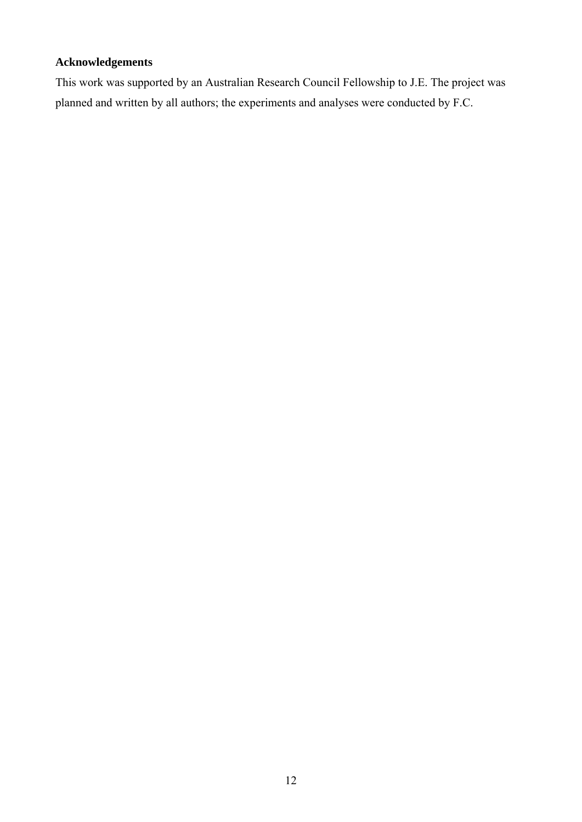# **Acknowledgements**

This work was supported by an Australian Research Council Fellowship to J.E. The project was planned and written by all authors; the experiments and analyses were conducted by F.C.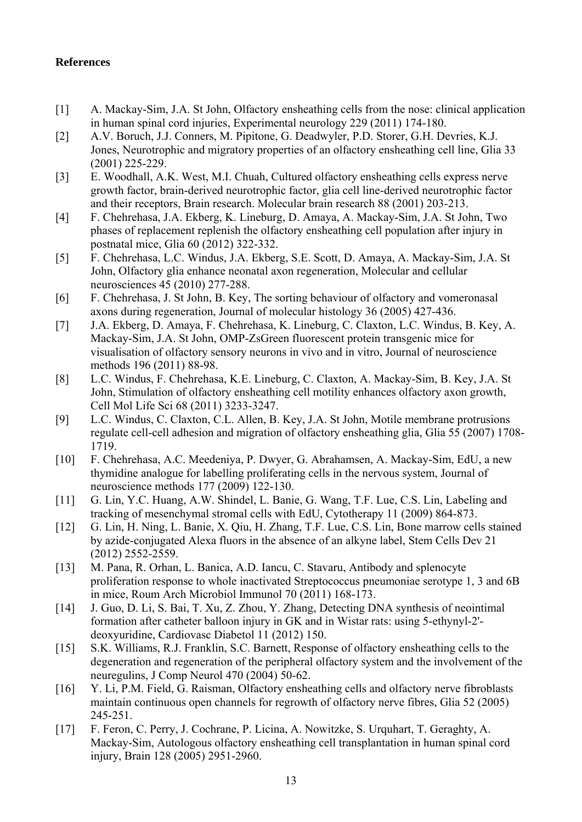# **References**

- [1] A. Mackay-Sim, J.A. St John, Olfactory ensheathing cells from the nose: clinical application in human spinal cord injuries, Experimental neurology 229 (2011) 174-180.
- [2] A.V. Boruch, J.J. Conners, M. Pipitone, G. Deadwyler, P.D. Storer, G.H. Devries, K.J. Jones, Neurotrophic and migratory properties of an olfactory ensheathing cell line, Glia 33 (2001) 225-229.
- [3] E. Woodhall, A.K. West, M.I. Chuah, Cultured olfactory ensheathing cells express nerve growth factor, brain-derived neurotrophic factor, glia cell line-derived neurotrophic factor and their receptors, Brain research. Molecular brain research 88 (2001) 203-213.
- [4] F. Chehrehasa, J.A. Ekberg, K. Lineburg, D. Amaya, A. Mackay-Sim, J.A. St John, Two phases of replacement replenish the olfactory ensheathing cell population after injury in postnatal mice, Glia 60 (2012) 322-332.
- [5] F. Chehrehasa, L.C. Windus, J.A. Ekberg, S.E. Scott, D. Amaya, A. Mackay-Sim, J.A. St John, Olfactory glia enhance neonatal axon regeneration, Molecular and cellular neurosciences 45 (2010) 277-288.
- [6] F. Chehrehasa, J. St John, B. Key, The sorting behaviour of olfactory and vomeronasal axons during regeneration, Journal of molecular histology 36 (2005) 427-436.
- [7] J.A. Ekberg, D. Amaya, F. Chehrehasa, K. Lineburg, C. Claxton, L.C. Windus, B. Key, A. Mackay-Sim, J.A. St John, OMP-ZsGreen fluorescent protein transgenic mice for visualisation of olfactory sensory neurons in vivo and in vitro, Journal of neuroscience methods 196 (2011) 88-98.
- [8] L.C. Windus, F. Chehrehasa, K.E. Lineburg, C. Claxton, A. Mackay-Sim, B. Key, J.A. St John, Stimulation of olfactory ensheathing cell motility enhances olfactory axon growth, Cell Mol Life Sci 68 (2011) 3233-3247.
- [9] L.C. Windus, C. Claxton, C.L. Allen, B. Key, J.A. St John, Motile membrane protrusions regulate cell-cell adhesion and migration of olfactory ensheathing glia, Glia 55 (2007) 1708- 1719.
- [10] F. Chehrehasa, A.C. Meedeniya, P. Dwyer, G. Abrahamsen, A. Mackay-Sim, EdU, a new thymidine analogue for labelling proliferating cells in the nervous system, Journal of neuroscience methods 177 (2009) 122-130.
- [11] G. Lin, Y.C. Huang, A.W. Shindel, L. Banie, G. Wang, T.F. Lue, C.S. Lin, Labeling and tracking of mesenchymal stromal cells with EdU, Cytotherapy 11 (2009) 864-873.
- [12] G. Lin, H. Ning, L. Banie, X. Qiu, H. Zhang, T.F. Lue, C.S. Lin, Bone marrow cells stained by azide-conjugated Alexa fluors in the absence of an alkyne label, Stem Cells Dev 21 (2012) 2552-2559.
- [13] M. Pana, R. Orhan, L. Banica, A.D. Iancu, C. Stavaru, Antibody and splenocyte proliferation response to whole inactivated Streptococcus pneumoniae serotype 1, 3 and 6B in mice, Roum Arch Microbiol Immunol 70 (2011) 168-173.
- [14] J. Guo, D. Li, S. Bai, T. Xu, Z. Zhou, Y. Zhang, Detecting DNA synthesis of neointimal formation after catheter balloon injury in GK and in Wistar rats: using 5-ethynyl-2' deoxyuridine, Cardiovasc Diabetol 11 (2012) 150.
- [15] S.K. Williams, R.J. Franklin, S.C. Barnett, Response of olfactory ensheathing cells to the degeneration and regeneration of the peripheral olfactory system and the involvement of the neuregulins, J Comp Neurol 470 (2004) 50-62.
- [16] Y. Li, P.M. Field, G. Raisman, Olfactory ensheathing cells and olfactory nerve fibroblasts maintain continuous open channels for regrowth of olfactory nerve fibres, Glia 52 (2005) 245-251.
- [17] F. Feron, C. Perry, J. Cochrane, P. Licina, A. Nowitzke, S. Urquhart, T. Geraghty, A. Mackay-Sim, Autologous olfactory ensheathing cell transplantation in human spinal cord injury, Brain 128 (2005) 2951-2960.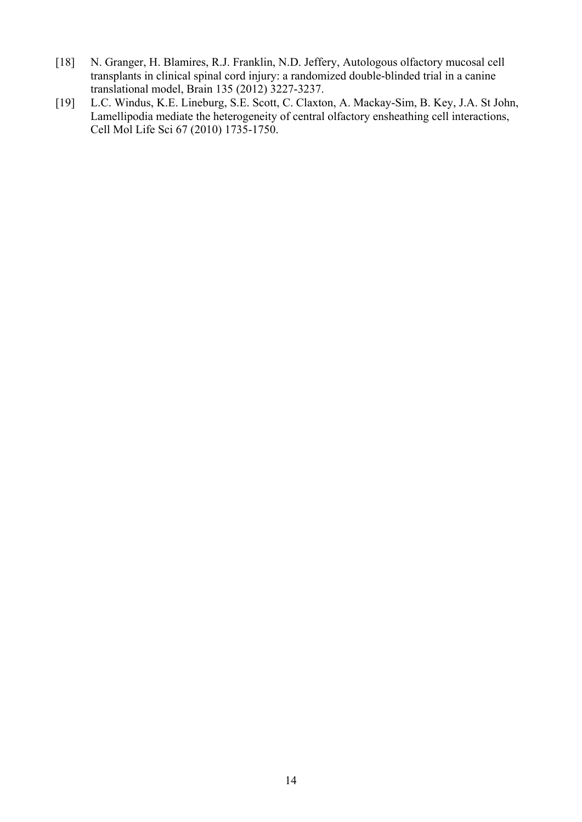- [18] N. Granger, H. Blamires, R.J. Franklin, N.D. Jeffery, Autologous olfactory mucosal cell transplants in clinical spinal cord injury: a randomized double-blinded trial in a canine translational model, Brain 135 (2012) 3227-3237.
- [19] L.C. Windus, K.E. Lineburg, S.E. Scott, C. Claxton, A. Mackay-Sim, B. Key, J.A. St John, Lamellipodia mediate the heterogeneity of central olfactory ensheathing cell interactions, Cell Mol Life Sci 67 (2010) 1735-1750.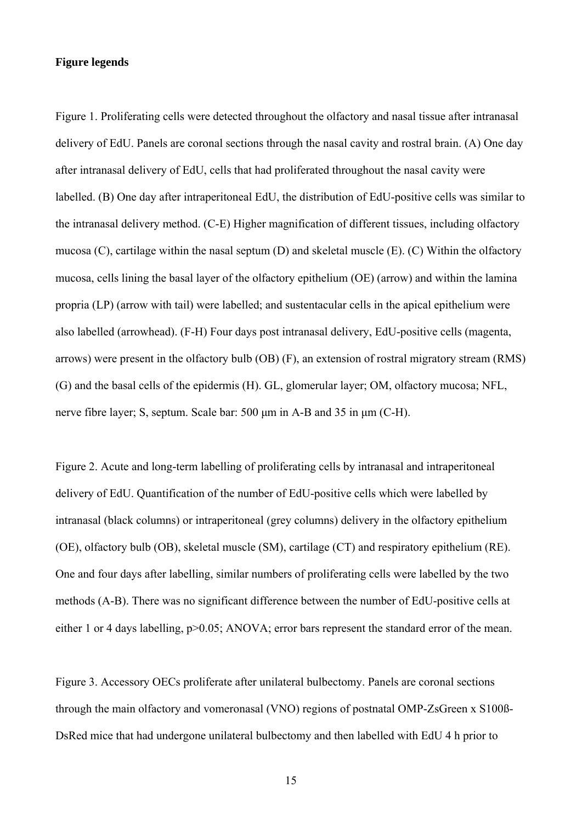#### **Figure legends**

Figure 1. Proliferating cells were detected throughout the olfactory and nasal tissue after intranasal delivery of EdU. Panels are coronal sections through the nasal cavity and rostral brain. (A) One day after intranasal delivery of EdU, cells that had proliferated throughout the nasal cavity were labelled. (B) One day after intraperitoneal EdU, the distribution of EdU-positive cells was similar to the intranasal delivery method. (C-E) Higher magnification of different tissues, including olfactory mucosa (C), cartilage within the nasal septum (D) and skeletal muscle (E). (C) Within the olfactory mucosa, cells lining the basal layer of the olfactory epithelium (OE) (arrow) and within the lamina propria (LP) (arrow with tail) were labelled; and sustentacular cells in the apical epithelium were also labelled (arrowhead). (F-H) Four days post intranasal delivery, EdU-positive cells (magenta, arrows) were present in the olfactory bulb (OB) (F), an extension of rostral migratory stream (RMS) (G) and the basal cells of the epidermis (H). GL, glomerular layer; OM, olfactory mucosa; NFL, nerve fibre layer; S, septum. Scale bar: 500 μm in A-B and 35 in μm (C-H).

Figure 2. Acute and long-term labelling of proliferating cells by intranasal and intraperitoneal delivery of EdU. Quantification of the number of EdU-positive cells which were labelled by intranasal (black columns) or intraperitoneal (grey columns) delivery in the olfactory epithelium (OE), olfactory bulb (OB), skeletal muscle (SM), cartilage (CT) and respiratory epithelium (RE). One and four days after labelling, similar numbers of proliferating cells were labelled by the two methods (A-B). There was no significant difference between the number of EdU-positive cells at either 1 or 4 days labelling, p>0.05; ANOVA; error bars represent the standard error of the mean.

Figure 3. Accessory OECs proliferate after unilateral bulbectomy. Panels are coronal sections through the main olfactory and vomeronasal (VNO) regions of postnatal OMP-ZsGreen x S100ß-DsRed mice that had undergone unilateral bulbectomy and then labelled with EdU 4 h prior to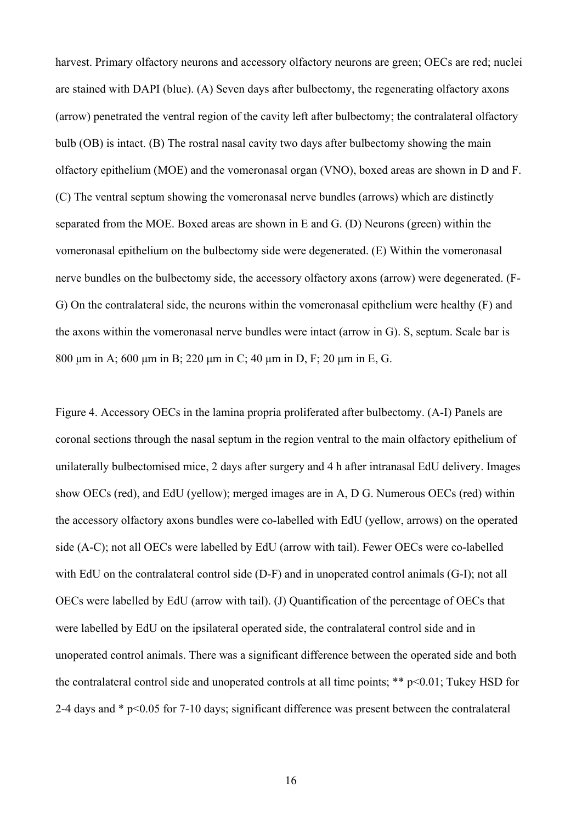harvest. Primary olfactory neurons and accessory olfactory neurons are green; OECs are red; nuclei are stained with DAPI (blue). (A) Seven days after bulbectomy, the regenerating olfactory axons (arrow) penetrated the ventral region of the cavity left after bulbectomy; the contralateral olfactory bulb (OB) is intact. (B) The rostral nasal cavity two days after bulbectomy showing the main olfactory epithelium (MOE) and the vomeronasal organ (VNO), boxed areas are shown in D and F. (C) The ventral septum showing the vomeronasal nerve bundles (arrows) which are distinctly separated from the MOE. Boxed areas are shown in E and G. (D) Neurons (green) within the vomeronasal epithelium on the bulbectomy side were degenerated. (E) Within the vomeronasal nerve bundles on the bulbectomy side, the accessory olfactory axons (arrow) were degenerated. (F-G) On the contralateral side, the neurons within the vomeronasal epithelium were healthy (F) and the axons within the vomeronasal nerve bundles were intact (arrow in G). S, septum. Scale bar is 800 μm in A; 600 μm in B; 220 μm in C; 40 μm in D, F; 20 μm in E, G.

Figure 4. Accessory OECs in the lamina propria proliferated after bulbectomy. (A-I) Panels are coronal sections through the nasal septum in the region ventral to the main olfactory epithelium of unilaterally bulbectomised mice, 2 days after surgery and 4 h after intranasal EdU delivery. Images show OECs (red), and EdU (yellow); merged images are in A, D G. Numerous OECs (red) within the accessory olfactory axons bundles were co-labelled with EdU (yellow, arrows) on the operated side (A-C); not all OECs were labelled by EdU (arrow with tail). Fewer OECs were co-labelled with EdU on the contralateral control side (D-F) and in unoperated control animals (G-I); not all OECs were labelled by EdU (arrow with tail). (J) Quantification of the percentage of OECs that were labelled by EdU on the ipsilateral operated side, the contralateral control side and in unoperated control animals. There was a significant difference between the operated side and both the contralateral control side and unoperated controls at all time points; \*\* p<0.01; Tukey HSD for 2-4 days and \* p<0.05 for 7-10 days; significant difference was present between the contralateral